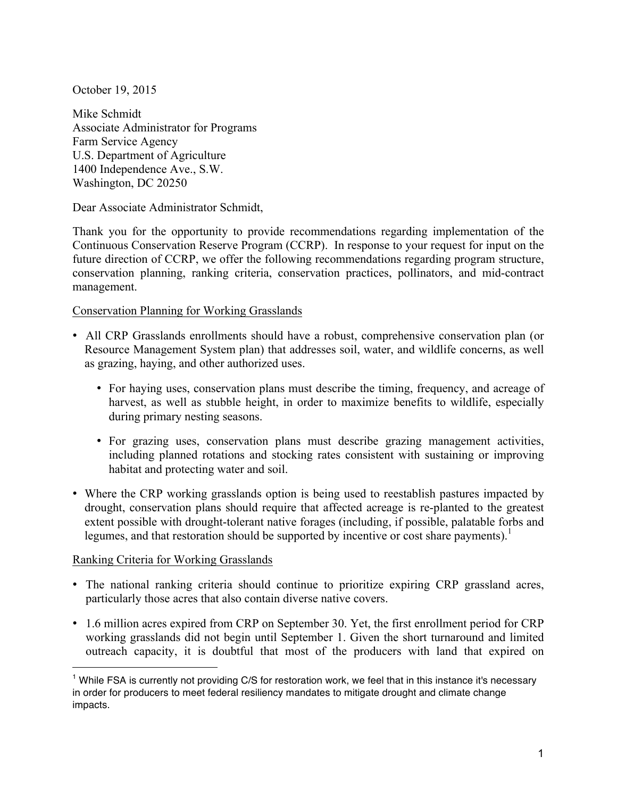October 19, 2015

Mike Schmidt Associate Administrator for Programs Farm Service Agency U.S. Department of Agriculture 1400 Independence Ave., S.W. Washington, DC 20250

Dear Associate Administrator Schmidt,

Thank you for the opportunity to provide recommendations regarding implementation of the Continuous Conservation Reserve Program (CCRP). In response to your request for input on the future direction of CCRP, we offer the following recommendations regarding program structure, conservation planning, ranking criteria, conservation practices, pollinators, and mid-contract management.

### Conservation Planning for Working Grasslands

- All CRP Grasslands enrollments should have a robust, comprehensive conservation plan (or Resource Management System plan) that addresses soil, water, and wildlife concerns, as well as grazing, haying, and other authorized uses.
	- For haying uses, conservation plans must describe the timing, frequency, and acreage of harvest, as well as stubble height, in order to maximize benefits to wildlife, especially during primary nesting seasons.
	- For grazing uses, conservation plans must describe grazing management activities, including planned rotations and stocking rates consistent with sustaining or improving habitat and protecting water and soil.
- Where the CRP working grasslands option is being used to reestablish pastures impacted by drought, conservation plans should require that affected acreage is re-planted to the greatest extent possible with drought-tolerant native forages (including, if possible, palatable forbs and legumes, and that restoration should be supported by incentive or cost share payments). 1

# Ranking Criteria for Working Grasslands

 $\overline{a}$ 

- The national ranking criteria should continue to prioritize expiring CRP grassland acres, particularly those acres that also contain diverse native covers.
- 1.6 million acres expired from CRP on September 30. Yet, the first enrollment period for CRP working grasslands did not begin until September 1. Given the short turnaround and limited outreach capacity, it is doubtful that most of the producers with land that expired on

 $<sup>1</sup>$  While FSA is currently not providing C/S for restoration work, we feel that in this instance it's necessary</sup> in order for producers to meet federal resiliency mandates to mitigate drought and climate change impacts.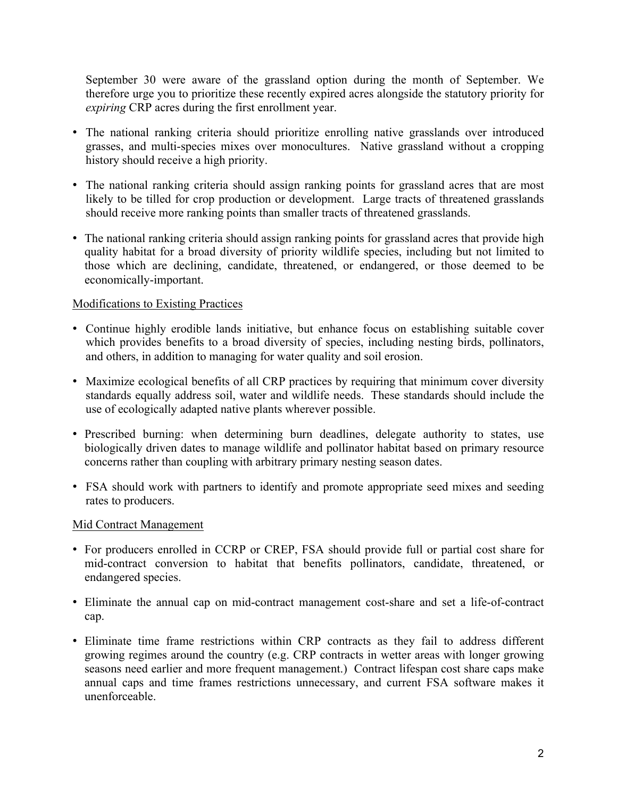September 30 were aware of the grassland option during the month of September. We therefore urge you to prioritize these recently expired acres alongside the statutory priority for *expiring* CRP acres during the first enrollment year.

- The national ranking criteria should prioritize enrolling native grasslands over introduced grasses, and multi-species mixes over monocultures. Native grassland without a cropping history should receive a high priority.
- The national ranking criteria should assign ranking points for grassland acres that are most likely to be tilled for crop production or development. Large tracts of threatened grasslands should receive more ranking points than smaller tracts of threatened grasslands.
- The national ranking criteria should assign ranking points for grassland acres that provide high quality habitat for a broad diversity of priority wildlife species, including but not limited to those which are declining, candidate, threatened, or endangered, or those deemed to be economically-important.

## Modifications to Existing Practices

- Continue highly erodible lands initiative, but enhance focus on establishing suitable cover which provides benefits to a broad diversity of species, including nesting birds, pollinators, and others, in addition to managing for water quality and soil erosion.
- Maximize ecological benefits of all CRP practices by requiring that minimum cover diversity standards equally address soil, water and wildlife needs. These standards should include the use of ecologically adapted native plants wherever possible.
- Prescribed burning: when determining burn deadlines, delegate authority to states, use biologically driven dates to manage wildlife and pollinator habitat based on primary resource concerns rather than coupling with arbitrary primary nesting season dates.
- FSA should work with partners to identify and promote appropriate seed mixes and seeding rates to producers.

# Mid Contract Management

- For producers enrolled in CCRP or CREP, FSA should provide full or partial cost share for mid-contract conversion to habitat that benefits pollinators, candidate, threatened, or endangered species.
- Eliminate the annual cap on mid-contract management cost-share and set a life-of-contract cap.
- Eliminate time frame restrictions within CRP contracts as they fail to address different growing regimes around the country (e.g. CRP contracts in wetter areas with longer growing seasons need earlier and more frequent management.) Contract lifespan cost share caps make annual caps and time frames restrictions unnecessary, and current FSA software makes it unenforceable.